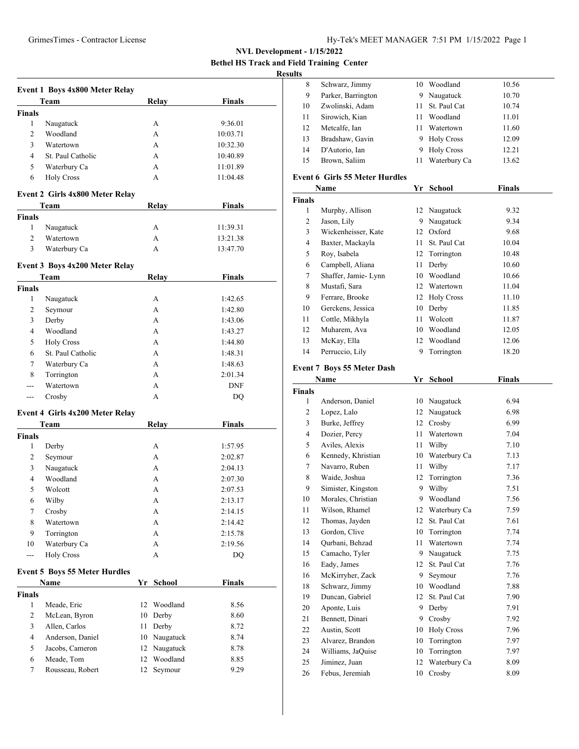**Bethel HS Track and Field Training Center**

# **Results**

|                         | Event 1 Boys 4x800 Meter Relay       |    |               |               |  |
|-------------------------|--------------------------------------|----|---------------|---------------|--|
|                         | Team                                 |    | <b>Relay</b>  | <b>Finals</b> |  |
| <b>Finals</b>           |                                      |    |               |               |  |
| 1                       | Naugatuck                            |    | A             | 9:36.01       |  |
| 2                       | Woodland                             |    | A<br>A        | 10:03.71      |  |
| 3                       | Watertown                            |    |               | 10:32.30      |  |
| 4                       | St. Paul Catholic                    |    | A             | 10:40.89      |  |
| 5                       | Waterbury Ca                         |    | A             | 11:01.89      |  |
| 6                       | <b>Holy Cross</b>                    |    | A             | 11:04.48      |  |
|                         | Event 2 Girls 4x800 Meter Relay      |    |               |               |  |
|                         | Team                                 |    | <b>Relay</b>  | <b>Finals</b> |  |
| <b>Finals</b>           |                                      |    |               |               |  |
| 1                       | Naugatuck                            |    | A             | 11:39.31      |  |
| 2                       | Watertown                            |    | A             | 13:21.38      |  |
| 3                       | Waterbury Ca                         |    | A             | 13:47.70      |  |
|                         |                                      |    |               |               |  |
|                         | Event 3 Boys 4x200 Meter Relay       |    |               |               |  |
|                         | Team                                 |    | Relay         | <b>Finals</b> |  |
| <b>Finals</b>           |                                      |    |               |               |  |
| 1                       | Naugatuck                            |    | A             | 1:42.65       |  |
| 2                       | Seymour                              |    | A             | 1:42.80       |  |
| 3                       | Derby                                |    | A             | 1:43.06       |  |
| 4                       | Woodland                             |    | A             | 1:43.27       |  |
| 5                       | <b>Holy Cross</b>                    |    | A             | 1:44.80       |  |
| 6                       | St. Paul Catholic                    |    | A             | 1:48.31       |  |
| 7                       | Waterbury Ca                         |    | A             | 1:48.63       |  |
| 8                       | Torrington                           |    | A             | 2:01.34       |  |
| ---                     | Watertown                            |    | A             | <b>DNF</b>    |  |
| $---$                   | Crosby                               |    | A             | DQ            |  |
|                         | Event 4 Girls 4x200 Meter Relay      |    |               |               |  |
|                         | Team                                 |    | Relay         | <b>Finals</b> |  |
| <b>Finals</b>           |                                      |    |               |               |  |
| 1                       | Derby                                |    | A             | 1:57.95       |  |
| 2                       | Seymour                              |    | A             | 2:02.87       |  |
| 3                       | Naugatuck                            |    | A             | 2:04.13       |  |
| 4                       | Woodland                             |    | A             | 2:07.30       |  |
| 5                       | Wolcott                              |    | A             | 2:07.53       |  |
| 6                       | Wilby                                |    | A             | 2:13.17       |  |
| 7                       | Crosby                               |    | A             | 2:14.15       |  |
| 8                       | Watertown                            |    | A             | 2:14.42       |  |
| 9                       | Torrington                           |    | A             | 2:15.78       |  |
| 10                      | Waterbury Ca                         |    | А             | 2:19.56       |  |
| $\overline{a}$          | <b>Holy Cross</b>                    |    | А             | <b>DQ</b>     |  |
|                         |                                      |    |               |               |  |
|                         | <b>Event 5 Boys 55 Meter Hurdles</b> |    |               |               |  |
|                         | Name                                 | Yr | <b>School</b> | <b>Finals</b> |  |
| <b>Finals</b>           |                                      |    |               |               |  |
| 1                       | Meade, Eric                          | 12 | Woodland      | 8.56          |  |
| 2                       | McLean, Byron                        | 10 | Derby         | 8.60          |  |
| 3                       | Allen, Carlos                        | 11 | Derby         | 8.72          |  |
| $\overline{\mathbf{4}}$ | Anderson, Daniel                     |    | 10 Naugatuck  | 8.74          |  |
| 5                       | Jacobs, Cameron                      |    | 12 Naugatuck  | 8.78          |  |
| 6                       | Meade, Tom                           | 12 | Woodland      | 8.85          |  |
| $\tau$                  | Rousseau, Robert                     | 12 | Seymour       | 9.29          |  |

| 8  | Schwarz, Jimmy     | 10 | Woodland          | 10.56 |  |
|----|--------------------|----|-------------------|-------|--|
| 9  | Parker, Barrington | 9  | Naugatuck         | 10.70 |  |
| 10 | Zwolinski, Adam    |    | 11 St. Paul Cat   | 10.74 |  |
| 11 | Sirowich, Kian     | 11 | Woodland          | 11.01 |  |
| 12 | Metcalfe, Ian      | 11 | Watertown         | 11.60 |  |
| 13 | Bradshaw, Gavin    | 9  | <b>Holy Cross</b> | 12.09 |  |
| 14 | D'Autorio, Ian     | 9  | <b>Holy Cross</b> | 12.21 |  |
| 15 | Brown, Saliim      | 11 | Waterbury Ca      | 13.62 |  |
|    |                    |    |                   |       |  |

## **Event 6 Girls 55 Meter Hurdles**

|               | Name                | Yr | <b>School</b>     | <b>Finals</b> |
|---------------|---------------------|----|-------------------|---------------|
| <b>Finals</b> |                     |    |                   |               |
| 1             | Murphy, Allison     | 12 | Naugatuck         | 9.32          |
| 2             | Jason, Lily         | 9  | Naugatuck         | 9.34          |
| 3             | Wickenheisser, Kate | 12 | Oxford            | 9.68          |
| 4             | Baxter, Mackayla    | 11 | St. Paul Cat      | 10.04         |
| 5             | Roy, Isabela        | 12 | Torrington        | 10.48         |
| 6             | Campbell, Aliana    | 11 | Derby             | 10.60         |
| 7             | Shaffer, Jamie-Lynn | 10 | Woodland          | 10.66         |
| 8             | Mustafi, Sara       | 12 | Watertown         | 11.04         |
| 9             | Ferrare, Brooke     | 12 | <b>Holy Cross</b> | 11.10         |
| 10            | Gerckens, Jessica   | 10 | Derby             | 11.85         |
| 11            | Cottle, Mikhyla     | 11 | Wolcott           | 11.87         |
| 12            | Muharem, Ava        | 10 | Woodland          | 12.05         |
| 13            | McKay, Ella         | 12 | Woodland          | 12.06         |
| 14            | Perruccio, Lily     | 9  | Torrington        | 18.20         |

# **Event 7 Boys 55 Meter Dash**

|                    | Yr   | <b>School</b>     | <b>Finals</b>         |  |
|--------------------|------|-------------------|-----------------------|--|
| <b>Finals</b>      |      |                   |                       |  |
| Anderson, Daniel   | 10   | Naugatuck         | 6.94                  |  |
| Lopez, Lalo        | 12   | Naugatuck         | 6.98                  |  |
| Burke, Jeffrey     | 12   | Crosby            | 6.99                  |  |
| Dozier, Percy      | 11   | Watertown         | 7.04                  |  |
| Aviles, Alexis     | 11   | Wilby             | 7.10                  |  |
| Kennedy, Khristian | 10   | Waterbury Ca      | 7.13                  |  |
| Navarro, Ruben     | 11   | Wilby             | 7.17                  |  |
| Waide, Joshua      | 12   | Torrington        | 7.36                  |  |
| Simister, Kingston | 9    | Wilby             | 7.51                  |  |
| Morales, Christian | 9    | Woodland          | 7.56                  |  |
| Wilson, Rhamel     |      |                   | 7.59                  |  |
| Thomas, Jayden     | 12   | St. Paul Cat      | 7.61                  |  |
| Gordon, Clive      | 10   | Torrington        | 7.74                  |  |
| Qurbani, Behzad    | 11   | Watertown         | 7.74                  |  |
| Camacho, Tyler     | 9    | Naugatuck         | 7.75                  |  |
| Eady, James        | 12   | St. Paul Cat      | 7.76                  |  |
| McKirryher, Zack   | 9    | Seymour           | 7.76                  |  |
| Schwarz, Jimmy     | 10   | Woodland          | 7.88                  |  |
| Duncan, Gabriel    |      | St. Paul Cat      | 7.90                  |  |
| Aponte, Luis       | 9    | Derby             | 7.91                  |  |
| Bennett, Dinari    | 9    | Crosby            | 7.92                  |  |
| Austin, Scott      | 10   | <b>Holy Cross</b> | 7.96                  |  |
| Alvarez, Brandon   | 10   | Torrington        | 7.97                  |  |
| Williams, JaQuise  | 10   | Torrington        | 7.97                  |  |
| Jiminez, Juan      | 12   | Waterbury Ca      | 8.09                  |  |
| Febus, Jeremiah    | 10   | Crosby            | 8.09                  |  |
|                    | Name |                   | 12 Waterbury Ca<br>12 |  |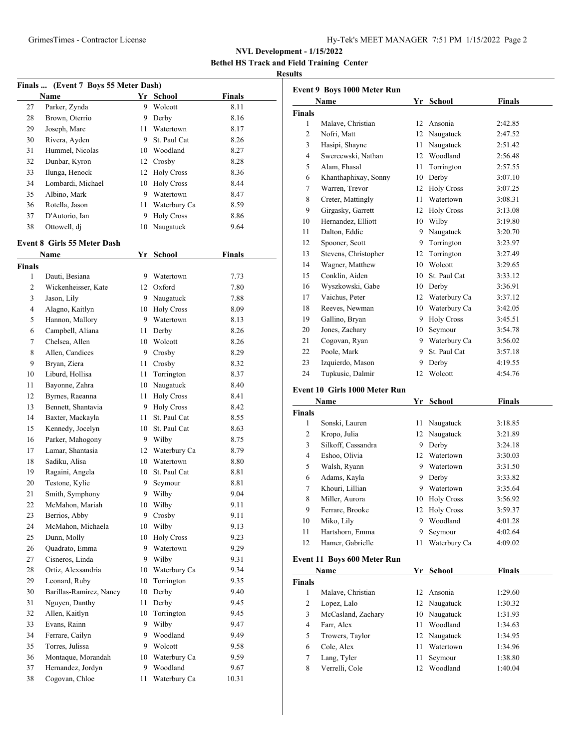**Bethel HS Track and Field Training Center**

#### **Results**

|               | Finals  (Event 7 Boys 55 Meter Dash) |    |                   |               |
|---------------|--------------------------------------|----|-------------------|---------------|
|               | Name                                 | Yr | <b>School</b>     | <b>Finals</b> |
| 27            | Parker, Zynda                        | 9  | Wolcott           | 8.11          |
| 28            | Brown, Oterrio                       | 9. | Derby             | 8.16          |
| 29            | Joseph, Marc                         | 11 | Watertown         | 8.17          |
| 30            | Rivera, Ayden                        | 9  | St. Paul Cat      | 8.26          |
| 31            | Hummel, Nicolas                      |    | 10 Woodland       | 8.27          |
| 32            | Dunbar, Kyron                        |    | 12 Crosby         | 8.28          |
| 33            | Ilunga, Henock                       |    | 12 Holy Cross     | 8.36          |
| 34            | Lombardi, Michael                    |    | 10 Holy Cross     | 8.44          |
| 35            | Albino, Mark                         | 9  | Watertown         | 8.47          |
| 36            | Rotella, Jason                       | 11 | Waterbury Ca      | 8.59          |
| 37            | D'Autorio, Ian                       | 9  | <b>Holy Cross</b> | 8.86          |
| 38            | Ottowell, dj                         | 10 | Naugatuck         | 9.64          |
|               | <b>Event 8 Girls 55 Meter Dash</b>   |    |                   |               |
|               | Name                                 |    | Yr School         | Finals        |
| <b>Finals</b> |                                      |    |                   |               |
| 1             | Dauti, Besiana                       |    | 9 Watertown       | 7.73          |
| 2             | Wickenheisser, Kate                  |    | 12 Oxford         | 7.80          |
| 3             | Jason, Lily                          |    | 9 Naugatuck       | 7.88          |
| 4             | Alagno, Kaitlyn                      |    | 10 Holy Cross     | 8.09          |
| 5             | Hannon, Mallory                      |    | 9 Watertown       | 8.13          |
| 6             | Campbell, Aliana                     | 11 | Derby             | 8.26          |
| 7             | Chelsea, Allen                       | 10 | Wolcott           | 8.26          |
| 8             | Allen, Candices                      | 9  |                   | 8.29          |
|               |                                      |    | Crosby            |               |
| 9             | Bryan, Ziera                         | 11 | Crosby            | 8.32          |
| 10            | Liburd, Hollisa                      | 11 | Torrington        | 8.37          |
| 11            | Bayonne, Zahra                       | 10 | Naugatuck         | 8.40          |
| 12            | Byrnes, Raeanna                      | 11 | <b>Holy Cross</b> | 8.41          |
| 13            | Bennett, Shantavia                   | 9  | <b>Holy Cross</b> | 8.42          |
| 14            | Baxter, Mackayla                     | 11 | St. Paul Cat      | 8.55          |
| 15            | Kennedy, Jocelyn                     | 10 | St. Paul Cat      | 8.63          |
| 16            | Parker, Mahogony                     |    | 9 Wilby           | 8.75          |
| 17            | Lamar, Shantasia                     | 12 | Waterbury Ca      | 8.79          |
| 18            | Sadiku, Alisa                        | 10 | Watertown         | 8.80          |
| 19            | Ragaini, Angela                      | 10 | St. Paul Cat      | 8.81          |
| 20            | Testone, Kylie                       | 9  | Seymour           | 8.81          |
| 21            | Smith, Symphony                      | 9  | Wilby             | 9.04          |
| 22            | McMahon, Mariah                      |    | 10 Wilby          | 9.11          |
| 23            | Berrios, Abby                        | 9  | Crosby            | 9.11          |
| 24            | McMahon, Michaela                    | 10 | Wilby             | 9.13          |
| 25            | Dunn, Molly                          | 10 | <b>Holy Cross</b> | 9.23          |
| 26            | Quadrato, Emma                       | 9  | Watertown         | 9.29          |
| 27            | Cisneros, Linda                      | 9  | Wilby             | 9.31          |
| 28            | Ortiz, Alexsandria                   | 10 | Waterbury Ca      | 9.34          |
| 29            | Leonard, Ruby                        | 10 | Torrington        | 9.35          |
| 30            | Barillas-Ramirez, Nancy              | 10 | Derby             | 9.40          |
| 31            | Nguyen, Danthy                       | 11 | Derby             | 9.45          |
| 32            | Allen, Kaitlyn                       | 10 | Torrington        | 9.45          |
| 33            | Evans, Rainn                         | 9  | Wilby             | 9.47          |
| 34            | Ferrare, Cailyn                      | 9  | Woodland          | 9.49          |
| 35            | Torres, Julissa                      | 9. | Wolcott           | 9.58          |
| 36            | Montaque, Morandah                   | 10 | Waterbury Ca      | 9.59          |
| 37            | Hernandez, Jordyn                    | 9  | Woodland          | 9.67          |
| 38            | Cogovan, Chloe                       | 11 | Waterbury Ca      | 10.31         |

|                | <b>Event 9 Boys 1000 Meter Run</b> |    |                   |               |
|----------------|------------------------------------|----|-------------------|---------------|
|                | Name                               |    | Yr School         | Finals        |
| <b>Finals</b>  |                                    |    |                   |               |
| 1              | Malave, Christian                  | 12 | Ansonia           | 2:42.85       |
| 2              | Nofri, Matt                        |    | 12 Naugatuck      | 2:47.52       |
| 3              | Hasipi, Shayne                     | 11 | Naugatuck         | 2:51.42       |
| 4              | Swercewski, Nathan                 |    | 12 Woodland       | 2:56.48       |
| 5              | Alam, Fhasal                       | 11 | Torrington        | 2:57.55       |
| 6              | Khanthaphixay, Sonny               |    | 10 Derby          | 3:07.10       |
| 7              | Warren, Trevor                     |    | 12 Holy Cross     | 3:07.25       |
| 8              | Creter, Mattingly                  |    | 11 Watertown      | 3:08.31       |
| 9              | Girgasky, Garrett                  |    | 12 Holy Cross     | 3:13.08       |
| 10             | Hernandez, Elliott                 |    | 10 Wilby          | 3:19.80       |
| 11             | Dalton, Eddie                      |    | 9 Naugatuck       | 3:20.70       |
| 12             | Spooner, Scott                     |    | 9 Torrington      | 3:23.97       |
| 13             | Stevens, Christopher               |    | 12 Torrington     | 3:27.49       |
| 14             | Wagner, Matthew                    |    | 10 Wolcott        | 3:29.65       |
| 15             | Conklin, Aiden                     |    | 10 St. Paul Cat   | 3:33.12       |
| 16             | Wyszkowski, Gabe                   |    | 10 Derby          | 3:36.91       |
| 17             | Vaichus, Peter                     |    | 12 Waterbury Ca   | 3:37.12       |
| 18             | Reeves, Newman                     |    | 10 Waterbury Ca   | 3:42.05       |
| 19             | Gallino, Bryan                     |    | 9 Holy Cross      | 3:45.51       |
| 20             | Jones, Zachary                     |    | 10 Seymour        | 3:54.78       |
| 21             | Cogovan, Ryan                      |    | 9 Waterbury Ca    | 3:56.02       |
| 22             | Poole, Mark                        | 9  | St. Paul Cat      | 3:57.18       |
| 23             | Izquierdo, Mason                   | 9. | Derby             | 4:19.55       |
| 24             | Tupkusic, Dalmir                   | 12 | Wolcott           | 4:54.76       |
|                |                                    |    |                   |               |
|                | Event 10 Girls 1000 Meter Run      |    |                   |               |
|                | Name                               | Yr | School            | <b>Finals</b> |
| Finals         |                                    |    |                   |               |
| 1              | Sonski, Lauren                     | 11 | Naugatuck         | 3:18.85       |
| 2              | Kropo, Julia                       |    | 12 Naugatuck      | 3:21.89       |
| 3              | Silkoff, Cassandra                 |    | 9 Derby           | 3:24.18       |
| 4              | Eshoo, Olivia                      |    | 12 Watertown      | 3:30.03       |
| 5              | Walsh, Ryann                       | 9  | Watertown         | 3:31.50       |
| 6              | Adams, Kayla                       | 9  | Derby             | 3:33.82       |
| 7              | Khouri, Lillian                    |    | 9 Watertown       | 3:35.64       |
| 8              | Miller, Aurora                     |    | 10 Holy Cross     | 3:56.92       |
| 9              | Ferrare, Brooke                    | 12 | <b>Holy Cross</b> | 3:59.37       |
| 10             | Miko, Lily                         | 9  | Woodland          | 4:01.28       |
| 11             | Hartshorn, Emma                    | 9  | Seymour           | 4:02.64       |
| 12             | Hamer, Gabrielle                   | 11 | Waterbury Ca      | 4:09.02       |
|                | Event 11 Boys 600 Meter Run        |    |                   |               |
|                | Name                               | Yr | <b>School</b>     | <b>Finals</b> |
| <b>Finals</b>  |                                    |    |                   |               |
| $\mathbf{1}$   | Malave, Christian                  | 12 | Ansonia           | 1:29.60       |
| $\mathfrak{2}$ | Lopez, Lalo                        | 12 | Naugatuck         | 1:30.32       |
| 3              | McCasland, Zachary                 | 10 | Naugatuck         | 1:31.93       |
| 4              | Farr, Alex                         | 11 | Woodland          | 1:34.63       |
| 5              | Trowers, Taylor                    | 12 | Naugatuck         | 1:34.95       |
| 6              | Cole, Alex                         | 11 | Watertown         | 1:34.96       |
| 7              | Lang, Tyler                        | 11 | Seymour           | 1:38.80       |
| 8              | Verrelli, Cole                     | 12 | Woodland          | 1:40.04       |
|                |                                    |    |                   |               |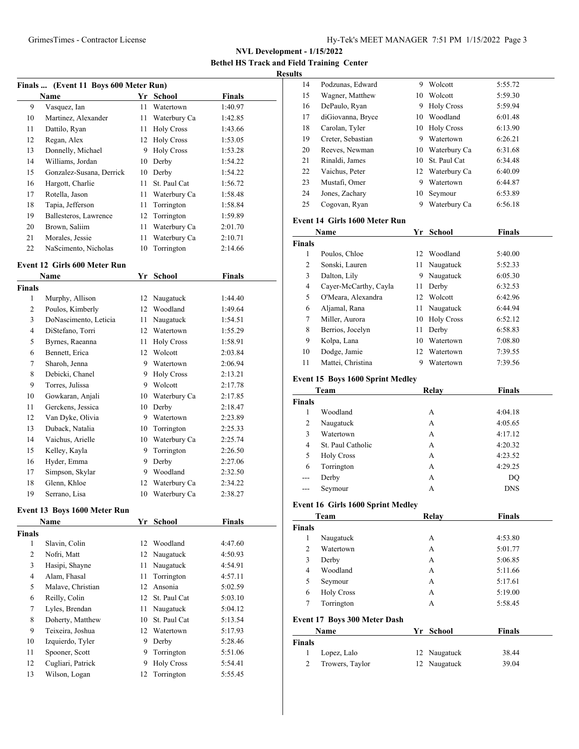**Bethel HS Track and Field Training Center Results**

| Finals  (Event 11 Boys 600 Meter Run) |                          |    |                   |               |  |
|---------------------------------------|--------------------------|----|-------------------|---------------|--|
|                                       | Name                     | Yr | School            | <b>Finals</b> |  |
| 9                                     | Vasquez, Ian             | 11 | Watertown         | 1:40.97       |  |
| 10                                    | Martinez, Alexander      | 11 | Waterbury Ca      | 1:42.85       |  |
| 11                                    | Dattilo, Ryan            | 11 | <b>Holy Cross</b> | 1:43.66       |  |
| 12                                    | Regan, Alex              | 12 | <b>Holy Cross</b> | 1:53.05       |  |
| 13                                    | Donnelly, Michael        | 9  | <b>Holy Cross</b> | 1:53.28       |  |
| 14                                    | Williams, Jordan         | 10 | Derby             | 1:54.22       |  |
| 15                                    | Gonzalez-Susana, Derrick | 10 | Derby             | 1:54.22       |  |
| 16                                    | Hargott, Charlie         | 11 | St. Paul Cat      | 1:56.72       |  |
| 17                                    | Rotella, Jason           | 11 | Waterbury Ca      | 1:58.48       |  |
| 18                                    | Tapia, Jefferson         | 11 | Torrington        | 1:58.84       |  |
| 19                                    | Ballesteros, Lawrence    | 12 | Torrington        | 1:59.89       |  |
| 20                                    | Brown, Saliim            | 11 | Waterbury Ca      | 2:01.70       |  |
| 21                                    | Morales, Jessie          | 11 | Waterbury Ca      | 2:10.71       |  |
| 22                                    | NaScimento, Nicholas     |    | 10 Torrington     | 2:14.66       |  |

#### **Event 12 Girls 600 Meter Run**

| Name                  | Yr            | School            | <b>Finals</b> |  |
|-----------------------|---------------|-------------------|---------------|--|
|                       |               |                   |               |  |
| Murphy, Allison       | 12            | Naugatuck         | 1:44.40       |  |
| Poulos, Kimberly      | 12            | Woodland          | 1:49.64       |  |
| DoNascimento, Leticia | 11            | Naugatuck         | 1:54.51       |  |
| DiStefano, Torri      | 12            | Watertown         | 1:55.29       |  |
| Byrnes, Raeanna       | 11            | <b>Holy Cross</b> | 1:58.91       |  |
| Bennett, Erica        | 12            | Wolcott           | 2:03.84       |  |
| Sharoh, Jenna         | 9             | Watertown         | 2:06.94       |  |
| Debicki, Chanel       | 9             | <b>Holy Cross</b> | 2:13.21       |  |
| Torres, Julissa       | 9             | Wolcott           | 2:17.78       |  |
| Gowkaran, Anjali      | 10            | Waterbury Ca      | 2:17.85       |  |
| Gerckens, Jessica     | 10            | Derby             | 2:18.47       |  |
| Van Dyke, Olivia      | 9             | Watertown         | 2:23.89       |  |
| Duback, Natalia       | 10            | Torrington        | 2:25.33       |  |
| Vaichus, Arielle      | 10            | Waterbury Ca      | 2:25.74       |  |
| Kelley, Kayla         | 9             | Torrington        | 2:26.50       |  |
| Hyder, Emma           | 9             | Derby             | 2:27.06       |  |
| Simpson, Skylar       | 9             | Woodland          | 2:32.50       |  |
| Glenn, Khloe          | 12            | Waterbury Ca      | 2:34.22       |  |
| Serrano, Lisa         | 10            | Waterbury Ca      | 2:38.27       |  |
|                       | <b>Finals</b> |                   |               |  |

## **Event 13 Boys 1600 Meter Run**

|                | <b>Name</b>       |    | School            | <b>Finals</b> |  |
|----------------|-------------------|----|-------------------|---------------|--|
| <b>Finals</b>  |                   |    |                   |               |  |
| 1              | Slavin, Colin     | 12 | Woodland          | 4:47.60       |  |
| 2              | Nofri, Matt       |    | 12 Naugatuck      | 4:50.93       |  |
| 3              | Hasipi, Shayne    | 11 | Naugatuck         | 4:54.91       |  |
| $\overline{4}$ | Alam, Fhasal      | 11 | Torrington        | 4:57.11       |  |
| 5              | Malave, Christian | 12 | Ansonia           | 5:02.59       |  |
| 6              | Reilly, Colin     | 12 | St. Paul Cat      | 5:03.10       |  |
| 7              | Lyles, Brendan    | 11 | Naugatuck         | 5:04.12       |  |
| 8              | Doherty, Matthew  | 10 | St. Paul Cat      | 5:13.54       |  |
| 9              | Teixeira, Joshua  | 12 | Watertown         | 5:17.93       |  |
| 10             | Izquierdo, Tyler  | 9  | Derby             | 5:28.46       |  |
| 11             | Spooner, Scott    | 9  | Torrington        | 5:51.06       |  |
| 12             | Cugliari, Patrick | 9  | <b>Holy Cross</b> | 5:54.41       |  |
| 13             | Wilson, Logan     | 12 | Torrington        | 5:55.45       |  |
|                |                   |    |                   |               |  |

| 14             | Podzunas, Edward                        | 9  | Wolcott         | 5:55.72       |
|----------------|-----------------------------------------|----|-----------------|---------------|
| 15             | Wagner, Matthew                         |    | 10 Wolcott      | 5:59.30       |
| 16             | DePaulo, Ryan                           |    | 9 Holy Cross    | 5:59.94       |
| 17             | diGiovanna, Bryce                       | 10 | Woodland        | 6:01.48       |
| 18             | Carolan, Tyler                          |    | 10 Holy Cross   | 6:13.90       |
| 19             | Creter, Sebastian                       |    | 9 Watertown     | 6:26.21       |
| 20             | Reeves, Newman                          |    | 10 Waterbury Ca | 6:31.68       |
| 21             | Rinaldi, James                          |    | 10 St. Paul Cat | 6:34.48       |
| 22             | Vaichus, Peter                          |    | 12 Waterbury Ca | 6:40.09       |
| 23             | Mustafi, Omer                           |    | 9 Watertown     | 6:44.87       |
| 24             | Jones, Zachary                          | 10 | Seymour         | 6:53.89       |
| 25             | Cogovan, Ryan                           |    | 9 Waterbury Ca  | 6:56.18       |
|                | Event 14 Girls 1600 Meter Run           |    |                 |               |
|                | Name                                    |    | Yr School       | <b>Finals</b> |
| <b>Finals</b>  |                                         |    |                 |               |
| $\mathbf{1}$   | Poulos, Chloe                           |    | 12 Woodland     | 5:40.00       |
| $\overline{c}$ | Sonski, Lauren                          | 11 | Naugatuck       | 5:52.33       |
| 3              | Dalton, Lily                            |    | 9 Naugatuck     | 6:05.30       |
| $\overline{4}$ | Cayer-McCarthy, Cayla                   | 11 | Derby           | 6:32.53       |
| 5              | O'Meara, Alexandra                      |    | 12 Wolcott      | 6:42.96       |
| 6              | Aljamal, Rana                           | 11 | Naugatuck       | 6:44.94       |
| $\tau$         | Miller, Aurora                          |    | 10 Holy Cross   | 6:52.12       |
| 8              | Berrios, Jocelyn                        | 11 | Derby           | 6:58.83       |
| 9              | Kolpa, Lana                             |    | 10 Watertown    | 7:08.80       |
| 10             | Dodge, Jamie                            |    | 12 Watertown    | 7:39.55       |
| 11             | Mattei, Christina                       |    | 9 Watertown     | 7:39.56       |
|                | <b>Event 15 Boys 1600 Sprint Medley</b> |    |                 |               |
|                | Team                                    |    | Relay           | Finals        |
| Finals         |                                         |    |                 |               |
| 1              | Woodland                                |    | А               | 4:04.18       |
| 2              | Naugatuck                               |    | A               | 4:05.65       |
| $\mathfrak{Z}$ | Watertown                               |    | А               | 4:17.12       |
| $\overline{4}$ | St. Paul Catholic                       |    | A               | 4:20.32       |
| 5              | <b>Holy Cross</b>                       |    | A               | 4:23.52       |
| 6              | Torrington                              |    | A               | 4:29.25       |
| $---$          | Derby                                   |    | А               | DQ            |
| ---            | Seymour                                 |    | A               | <b>DNS</b>    |
|                | Event 16 Girls 1600 Sprint Medley       |    |                 |               |
|                | Team                                    |    | Relay           | <b>Finals</b> |
| Finals         |                                         |    |                 |               |
| 1              | Naugatuck                               |    | A               | 4:53.80       |
| $\overline{c}$ | Watertown                               |    | A               | 5:01.77       |
| 3              | Derby                                   |    | A               | 5:06.85       |

# Torrington A 5:58.45 **Event 17 Boys 300 Meter Dash**

|              | <b>Name</b>     | Yr School    | <b>Finals</b> |  |
|--------------|-----------------|--------------|---------------|--|
| Finals       |                 |              |               |  |
| $\mathbf{I}$ | Lopez, Lalo     | 12 Naugatuck | 38.44         |  |
|              | Trowers, Taylor | 12 Naugatuck | 39.04         |  |

 Woodland A 5:11.66 Seymour A 5:17.61 Holy Cross A 5:19.00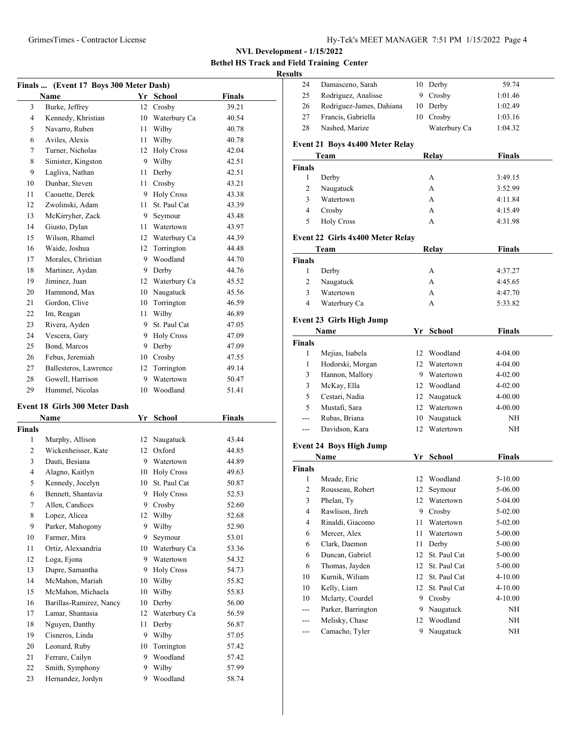**Bethel HS Track and Field Training Center**

#### **Results**

| Finals  (Event 17 Boys 300 Meter Dash) |                                      |         |                   |               |  |
|----------------------------------------|--------------------------------------|---------|-------------------|---------------|--|
|                                        | Name                                 |         | Yr School         | <b>Finals</b> |  |
| 3                                      | Burke, Jeffrey                       | 12      | Crosby            | 39.21         |  |
| 4                                      | Kennedy, Khristian                   | 10      | Waterbury Ca      | 40.54         |  |
| 5                                      | Navarro, Ruben                       | 11      | Wilby             | 40.78         |  |
| 6                                      | Aviles, Alexis                       | 11      | Wilby             | 40.78         |  |
| 7                                      | Turner, Nicholas                     | 12      | <b>Holy Cross</b> | 42.04         |  |
| 8                                      | Simister, Kingston                   |         | 9 Wilby           | 42.51         |  |
| 9                                      | Lagliva, Nathan                      | 11      | Derby             | 42.51         |  |
| 10                                     | Dunbar, Steven                       | 11      | Crosby            | 43.21         |  |
| 11                                     | Caouette, Derek                      |         | 9 Holy Cross      | 43.38         |  |
| 12                                     | Zwolinski, Adam                      | 11      | St. Paul Cat      | 43.39         |  |
| 13                                     | McKirryher, Zack                     |         | 9 Seymour         | 43.48         |  |
| 14                                     | Giusto, Dylan                        |         | 11 Watertown      | 43.97         |  |
| 15                                     | Wilson, Rhamel                       |         | 12 Waterbury Ca   | 44.39         |  |
| 16                                     | Waide, Joshua                        |         | 12 Torrington     | 44.48         |  |
| 17                                     | Morales, Christian                   | 9       | Woodland          | 44.70         |  |
| 18                                     | Martinez, Aydan                      |         | 9 Derby           | 44.76         |  |
| 19                                     | Jiminez, Juan                        |         | 12 Waterbury Ca   | 45.52         |  |
| 20                                     | Hammond, Max                         |         | 10 Naugatuck      | 45.56         |  |
| 21                                     | Gordon, Clive                        |         | 10 Torrington     | 46.59         |  |
| 22                                     | Im, Reagan                           | 11      | Wilby             | 46.89         |  |
| 23                                     | Rivera, Ayden                        |         | 9 St. Paul Cat    | 47.05         |  |
| 24                                     | Vescera, Gary                        |         | 9 Holy Cross      | 47.09         |  |
| 25                                     | Bond. Marcos                         |         | 9 Derby           | 47.09         |  |
| 26                                     | Febus, Jeremiah                      |         | 10 Crosby         |               |  |
| 27                                     | Ballesteros, Lawrence                |         |                   | 47.55         |  |
|                                        |                                      | 12<br>9 | Torrington        | 49.14         |  |
| 28                                     | Gowell, Harrison                     |         | Watertown         | 50.47         |  |
| 29                                     | Hummel, Nicolas                      | 10      | Woodland          | 51.41         |  |
|                                        | <b>Event 18 Girls 300 Meter Dash</b> |         |                   |               |  |
|                                        | Name                                 |         | Yr School         | <b>Finals</b> |  |
| <b>Finals</b>                          |                                      |         |                   |               |  |
| 1                                      | Murphy, Allison                      |         | 12 Naugatuck      | 43.44         |  |
| 2                                      | Wickenheisser, Kate                  |         | 12 Oxford         | 44.85         |  |
| 3                                      | Dauti, Besiana                       |         | 9 Watertown       | 44.89         |  |
| 4                                      | Alagno, Kaitlyn                      |         | 10 Holy Cross     | 49.63         |  |
| 5                                      | Kennedy, Jocelyn                     |         | 10 St. Paul Cat   | 50.87         |  |
| 6                                      | Bennett, Shantavia                   | 9       | <b>Holy Cross</b> | 52.53         |  |
| 7                                      | Allen, Candices                      | 9       | Crosby            | 52.60         |  |
| 8                                      | Lopez, Alicea                        | 12      | Wilby             | 52.68         |  |
| 9                                      | Parker, Mahogony                     | 9       | Wilby             | 52.90         |  |
| 10                                     | Farmer, Mira                         | 9       | Seymour           | 53.01         |  |
| 11                                     | Ortiz, Alexsandria                   | 10      | Waterbury Ca      | 53.36         |  |
| 12                                     | Loga, Ejona                          | 9       | Watertown         | 54.32         |  |
| 13                                     | Dupre, Samantha                      | 9.      | <b>Holy Cross</b> | 54.73         |  |
| 14                                     | McMahon, Mariah                      | 10      | Wilby             | 55.82         |  |
| 15                                     | McMahon, Michaela                    | 10      | Wilby             | 55.83         |  |
| 16                                     | Barillas-Ramirez, Nancy              | 10      | Derby             | 56.00         |  |
| 17                                     | Lamar, Shantasia                     | 12      | Waterbury Ca      | 56.59         |  |
| 18                                     | Nguyen, Danthy                       | 11      | Derby             | 56.87         |  |
| 19                                     | Cisneros, Linda                      | 9       | Wilby             | 57.05         |  |
| 20                                     | Leonard, Ruby                        | 10      | Torrington        | 57.42         |  |
| 21                                     | Ferrare, Cailyn                      | 9       | Woodland          | 57.42         |  |
| 22                                     | Smith, Symphony                      | 9       | Wilby             | 57.99         |  |
| 23                                     | Hernandez, Jordyn                    | 9.      | Woodland          | 58.74         |  |

| 24                     | Damasceno, Sarah                       |    | 10 Derby      | 59.74         |  |
|------------------------|----------------------------------------|----|---------------|---------------|--|
| 25                     | Rodriguez, Analisse                    | 9. | Crosby        | 1:01.46       |  |
| 26                     | Rodriguez-James, Dahiana               | 10 | Derby         | 1:02.49       |  |
| 27                     | Francis, Gabriella                     |    | 10 Crosby     | 1:03.16       |  |
| 28                     | Nashed, Marize                         |    | Waterbury Ca  | 1:04.32       |  |
|                        | <b>Event 21 Boys 4x400 Meter Relay</b> |    |               |               |  |
| Team                   |                                        |    | <b>Relay</b>  | <b>Finals</b> |  |
| Finals                 |                                        |    |               |               |  |
| 1                      | Derby                                  |    | A             | 3:49.15       |  |
| $\overline{c}$         | Naugatuck                              |    | A             | 3:52.99       |  |
| 3                      | Watertown                              |    | A             | 4:11.84       |  |
| $\overline{4}$         | Crosby                                 |    | A             | 4:15.49       |  |
| 5                      | <b>Holy Cross</b>                      |    | А             | 4:31.98       |  |
|                        | Event 22 Girls 4x400 Meter Relay       |    |               |               |  |
|                        | Team                                   |    | Relay         | Finals        |  |
| <b>Finals</b>          |                                        |    |               |               |  |
| $\mathbf{1}$           | Derby                                  |    | A             | 4:37.27       |  |
| 2                      | Naugatuck                              |    | A             | 4:45.65       |  |
| 3                      | Watertown                              |    | A             | 4:47.70       |  |
| 4                      | Waterbury Ca                           |    | А             | 5:33.82       |  |
|                        | <b>Event 23 Girls High Jump</b>        |    |               |               |  |
|                        | Name                                   | Yr | <b>School</b> | <b>Finals</b> |  |
| <b>Finals</b>          |                                        |    |               |               |  |
| 1                      | Mejias, Isabela                        |    | 12 Woodland   | 4-04.00       |  |
| 1                      | Hodorski, Morgan                       |    | 12 Watertown  | 4-04.00       |  |
| 3                      | Hannon, Mallory                        |    | 9 Watertown   | $4 - 02.00$   |  |
| 3                      | McKay, Ella                            |    | 12 Woodland   | $4 - 02.00$   |  |
| 5                      | Cestari, Nadia                         |    | 12 Naugatuck  | 4-00.00       |  |
| 5                      | Mustafi, Sara                          |    | 12 Watertown  | 4-00.00       |  |
| ---                    | Rubas, Briana                          |    | 10 Naugatuck  | NH            |  |
| $\qquad \qquad \cdots$ | Davidson, Kara                         |    | 12 Watertown  | NH            |  |
|                        | <b>Event 24 Boys High Jump</b>         |    |               |               |  |
|                        | Name                                   |    | Yr School     | <b>Finals</b> |  |
| <b>Finals</b>          |                                        |    |               |               |  |
| 1                      | Meade, Eric                            |    | 12 Woodland   | 5-10.00       |  |
| $\overline{2}$         | Rousseau, Robert                       | 12 | Seymour       | 5-06.00       |  |
| 3                      | Phelan, Ty                             | 12 | Watertown     | 5-04.00       |  |
| 4                      | Rawlison, Jireh                        |    | 9 Crosby      | 5-02.00       |  |
| $\overline{4}$         | Rinaldi, Giacomo                       | 11 | Watertown     | 5-02.00       |  |
| 6                      | Mercer, Alex                           | 11 | Watertown     | 5-00.00       |  |
| 6                      | Clark, Daemon                          | 11 | Derby         | 5-00.00       |  |
| 6                      | Duncan, Gabriel                        | 12 | St. Paul Cat  | 5-00.00       |  |
| 6                      | Thomas, Jayden                         | 12 | St. Paul Cat  | 5-00.00       |  |
| 10                     | Kurnik, Wiliam                         | 12 | St. Paul Cat  | 4-10.00       |  |
| 10                     | Kelly, Liam                            | 12 | St. Paul Cat  | 4-10.00       |  |
| 10                     | Mclarty, Courdel                       | 9. | Crosby        | 4-10.00       |  |
| $---$                  | Parker, Barrington                     | 9. | Naugatuck     | NΗ            |  |
| ---                    | Melisky, Chase                         | 12 | Woodland      | NH            |  |
| ---                    | Camacho, Tyler                         | 9  | Naugatuck     | NΗ            |  |
|                        |                                        |    |               |               |  |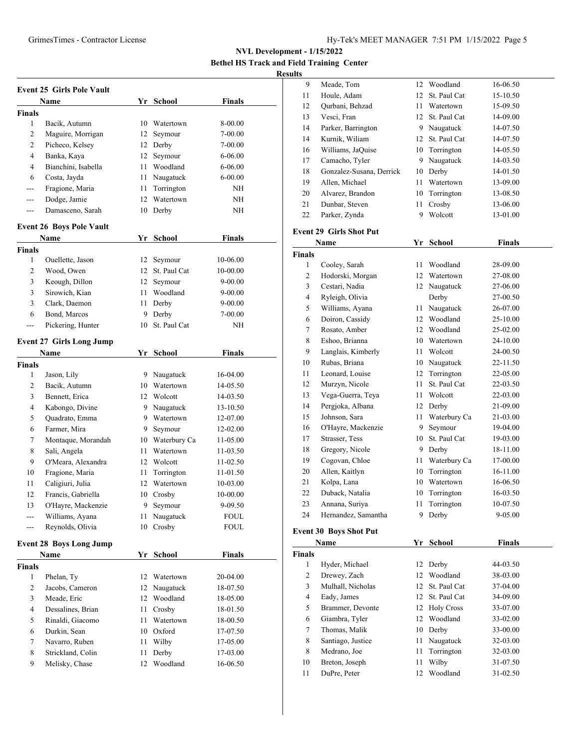**Bethel HS Track and Field Training Center Resul** 

| <b>Event 25 Girls Pole Vault</b> |                                 |    |                 |               |  |  |
|----------------------------------|---------------------------------|----|-----------------|---------------|--|--|
|                                  | Name                            |    | Yr School       | Finals        |  |  |
| <b>Finals</b>                    |                                 |    |                 |               |  |  |
| 1                                | Bacik, Autumn                   | 10 | Watertown       | 8-00.00       |  |  |
| 2                                | Maguire, Morrigan               | 12 | Seymour         | 7-00.00       |  |  |
| $\overline{c}$                   | Picheco, Kelsey                 |    | 12 Derby        | 7-00.00       |  |  |
| $\overline{4}$                   | Banka, Kaya                     | 12 | Seymour         | 6-06.00       |  |  |
| 4                                | Bianchini, Isabella             |    | 11 Woodland     | $6 - 06.00$   |  |  |
| 6                                | Costa, Jayda                    |    | 11 Naugatuck    | 6-00.00       |  |  |
| $---$                            | Fragione, Maria                 | 11 | Torrington      | NH            |  |  |
| ---                              | Dodge, Jamie                    | 12 | Watertown       | NΗ            |  |  |
| $---$                            | Damasceno, Sarah                | 10 | Derby           | NΗ            |  |  |
|                                  |                                 |    |                 |               |  |  |
|                                  | <b>Event 26 Boys Pole Vault</b> |    |                 |               |  |  |
|                                  | Name                            |    | Yr School       | <b>Finals</b> |  |  |
| Finals                           |                                 |    |                 |               |  |  |
| 1                                | Ouellette, Jason                | 12 | Seymour         | 10-06.00      |  |  |
| 2                                | Wood, Owen                      |    | 12 St. Paul Cat | 10-00.00      |  |  |
| 3                                | Keough, Dillon                  |    | 12 Seymour      | 9-00.00       |  |  |
| 3                                | Sirowich, Kian                  | 11 | Woodland        | 9-00.00       |  |  |
| 3                                | Clark, Daemon                   | 11 | Derby           | 9-00.00       |  |  |
| 6                                | Bond, Marcos                    | 9  | Derby           | 7-00.00       |  |  |
| ---                              | Pickering, Hunter               | 10 | St. Paul Cat    | NΗ            |  |  |
|                                  | <b>Event 27 Girls Long Jump</b> |    |                 |               |  |  |
|                                  | Name                            |    | Yr School       | <b>Finals</b> |  |  |
| <b>Finals</b>                    |                                 |    |                 |               |  |  |
| 1                                | Jason, Lily                     |    | 9 Naugatuck     | 16-04.00      |  |  |
| 2                                | Bacik, Autumn                   |    | 10 Watertown    | 14-05.50      |  |  |
| 3                                | Bennett, Erica                  |    | 12 Wolcott      | 14-03.50      |  |  |
| 4                                | Kabongo, Divine                 |    | 9 Naugatuck     | 13-10.50      |  |  |
| 5                                | Quadrato, Emma                  |    | 9 Watertown     | 12-07.00      |  |  |
| 6                                | Farmer, Mira                    |    | 9 Seymour       | 12-02.00      |  |  |
| 7                                | Montaque, Morandah              |    | 10 Waterbury Ca | 11-05.00      |  |  |
| 8                                | Sali, Angela                    | 11 | Watertown       | 11-03.50      |  |  |
| 9                                | O'Meara, Alexandra              | 12 | Wolcott         | 11-02.50      |  |  |
| 10                               | Fragione, Maria                 | 11 | Torrington      | 11-01.50      |  |  |
| 11                               | Caligiuri, Julia                | 12 | Watertown       | 10-03.00      |  |  |
| 12                               | Francis, Gabriella              |    | 10 Crosby       | 10-00.00      |  |  |
| 13                               | O'Hayre, Mackenzie              | 9  | Seymour         | 9-09.50       |  |  |
| ---                              | Williams, Ayana                 | 11 | Naugatuck       | <b>FOUL</b>   |  |  |
| ---                              | Reynolds, Olivia                | 10 | Crosby          | <b>FOUL</b>   |  |  |
| <b>Event 28 Boys Long Jump</b>   |                                 |    |                 |               |  |  |
|                                  | <b>Name</b>                     |    | Yr School       | <b>Finals</b> |  |  |
| <b>Finals</b>                    |                                 |    |                 |               |  |  |
| 1                                | Phelan, Ty                      | 12 | Watertown       | 20-04.00      |  |  |
| 2                                | Jacobs, Cameron                 | 12 | Naugatuck       | 18-07.50      |  |  |
| 3                                | Meade, Eric                     | 12 | Woodland        | 18-05.00      |  |  |
| 4                                | Dessalines, Brian               | 11 | Crosby          | 18-01.50      |  |  |
| 5                                | Rinaldi, Giacomo                | 11 | Watertown       | 18-00.50      |  |  |
| 6                                | Durkin, Sean                    |    | 10 Oxford       | 17-07.50      |  |  |
| 7                                | Navarro, Ruben                  | 11 | Wilby           | 17-05.00      |  |  |
| 8                                | Strickland, Colin               | 11 | Derby           | 17-03.00      |  |  |
| 9                                | Melisky, Chase                  | 12 | Woodland        | 16-06.50      |  |  |
|                                  |                                 |    |                 |               |  |  |

| lts            |                                |               |                   |               |  |
|----------------|--------------------------------|---------------|-------------------|---------------|--|
| 9              | Meade, Tom                     | 12            | Woodland          | 16-06.50      |  |
| 11             | Houle, Adam                    | 12            | St. Paul Cat      | 15-10.50      |  |
| 12             | Qurbani, Behzad                | 11            | Watertown         | 15-09.50      |  |
| 13             | Vesci, Fran                    | 12            | St. Paul Cat      | 14-09.00      |  |
| 14             | Parker, Barrington             |               | 9 Naugatuck       | 14-07.50      |  |
| 14             | Kurnik, Wiliam                 |               | 12 St. Paul Cat   | 14-07.50      |  |
| 16             | Williams, JaQuise              |               | 10 Torrington     | 14-05.50      |  |
| 17             | Camacho, Tyler                 | 9.            | Naugatuck         | 14-03.50      |  |
| 18             | Gonzalez-Susana, Derrick       |               | 10 Derby          | 14-01.50      |  |
| 19             | Allen, Michael                 | 11            | Watertown         | 13-09.00      |  |
| 20             | Alvarez, Brandon               | 10            | Torrington        | 13-08.50      |  |
| 21             | Dunbar, Steven                 | 11            | Crosby            | 13-06.00      |  |
| 22             | Parker, Zynda                  | 9             | Wolcott           | 13-01.00      |  |
|                | <b>Event 29 Girls Shot Put</b> |               |                   |               |  |
|                | Name                           |               | Yr School         | <b>Finals</b> |  |
| Finals         |                                |               |                   |               |  |
| 1              | Cooley, Sarah                  | 11            | Woodland          | 28-09.00      |  |
| 2              | Hodorski, Morgan               |               | 12 Watertown      | 27-08.00      |  |
| 3              | Cestari, Nadia                 |               | 12 Naugatuck      | 27-06.00      |  |
| 4              | Ryleigh, Olivia                |               | Derby             | 27-00.50      |  |
| 5              | Williams, Ayana                | 11            | Naugatuck         | 26-07.00      |  |
| 6              | Doiron, Cassidy                |               | 12 Woodland       | 25-10.00      |  |
| 7              | Rosato, Amber                  | 12            | Woodland          | 25-02.00      |  |
| 8              | Eshoo, Brianna                 | 10            | Watertown         | 24-10.00      |  |
| 9              | Langlais, Kimberly             | 11            | Wolcott           | 24-00.50      |  |
| 10             | Rubas, Briana                  | 10            | Naugatuck         | 22-11.50      |  |
| 11             | Leonard, Louise                | 12            | Torrington        | 22-05.00      |  |
| 12             | Murzyn, Nicole                 | 11            | St. Paul Cat      | 22-03.50      |  |
| 13             | Vega-Guerra, Teya              | 11            | Wolcott           | 22-03.00      |  |
| 14             | Pergjoka, Albana               | 12            | Derby             | 21-09.00      |  |
| 15             | Johnson, Sara                  | 11            | Waterbury Ca      | 21-03.00      |  |
| 16             | O'Hayre, Mackenzie             | 9             | Seymour           | 19-04.00      |  |
| 17             | Strasser, Tess                 | 10            | St. Paul Cat      | 19-03.00      |  |
| 18             | Gregory, Nicole                | 9.            | Derby             | 18-11.00      |  |
| 19             | Cogovan, Chloe                 | 11            | Waterbury Ca      | 17-00.00      |  |
| 20             | Allen, Kaitlyn                 | 10            | Torrington        | 16-11.00      |  |
| 21             | Kolpa, Lana                    | 10            | Watertown         | 16-06.50      |  |
| 22             | Duback, Natalia                |               | 10 Torrington     | 16-03.50      |  |
| 23             | Annana, Suriya                 | 11            | Torrington        | 10-07.50      |  |
| 24             | Hernandez, Samantha            | 9             | Derby             | 9-05.00       |  |
|                | <b>Event 30 Boys Shot Put</b>  |               |                   |               |  |
|                | Name                           | <b>Finals</b> |                   |               |  |
| Finals         |                                | Yr            | <b>School</b>     |               |  |
| 1              | Hyder, Michael                 | 12            | Derby             | 44-03.50      |  |
| 2              | Drewey, Zach                   | 12            | Woodland          | 38-03.00      |  |
| 3              | Mulhall, Nicholas              | 12            | St. Paul Cat      | 37-04.00      |  |
| $\overline{4}$ | Eady, James                    | 12            | St. Paul Cat      | 34-09.00      |  |
| 5              | Brammer, Devonte               | 12            | <b>Holy Cross</b> | 33-07.00      |  |
| 6              | Giambra, Tyler                 | 12            | Woodland          | 33-02.00      |  |
| 7              | Thomas, Malik                  | 10            | Derby             | 33-00.00      |  |
| 8              | Santiago, Justice              | 11            | Naugatuck         | 32-03.00      |  |
| 8              | Medrano, Joe                   | 11            | Torrington        | 32-03.00      |  |
| 10             | Breton, Joseph                 | 11            | Wilby             | 31-07.50      |  |
| 11             | DuPre, Peter                   | 12            | Woodland          | 31-02.50      |  |
|                |                                |               |                   |               |  |